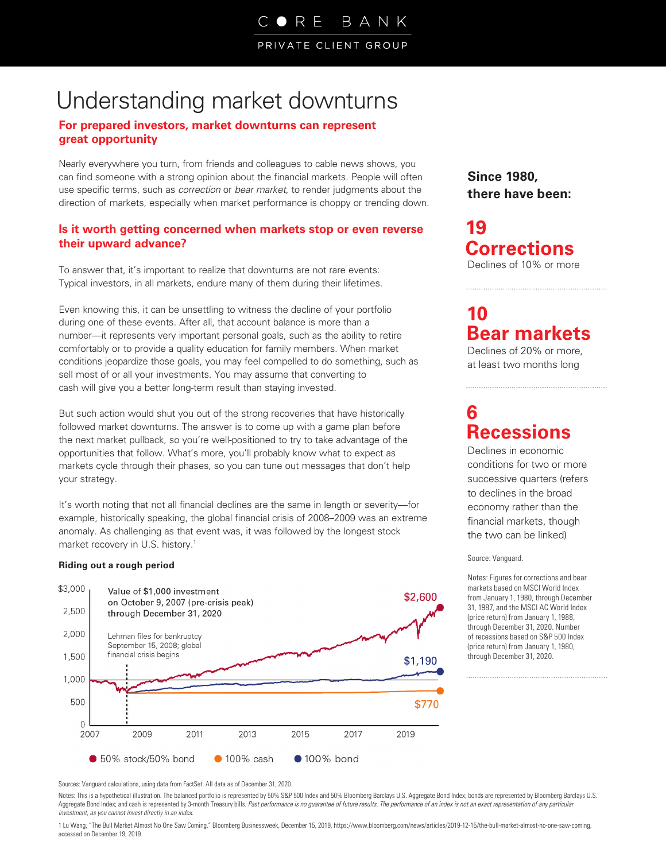PRIVATE CLIENT GROUP

# Understanding market downturns

## **For prepared investors, market downturns can represent great opportunity**

Nearly everywhere you turn, from friends and colleagues to cable news shows, you can find someone with a strong opinion about the financial markets. People will often use specific terms, such as *correction* or *bear market*, to render judgments about the direction of markets, especially when market performance is choppy or trending down.

## **Is it worth getting concerned when markets stop or even reverse their upward advance?**

To answer that, it's important to realize that downturns are not rare events: Typical investors, in all markets, endure many of them during their lifetimes.

Even knowing this, it can be unsettling to witness the decline of your portfolio during one of these events. After all, that account balance is more than a number—it represents very important personal goals, such as the ability to retire comfortably or to provide a quality education for family members. When market conditions jeopardize those goals, you may feel compelled to do something, such as sell most of or all your investments. You may assume that converting to cash will give you a better long-term result than staying invested.

But such action would shut you out of the strong recoveries that have historically followed market downturns. The answer is to come up with a game plan before the next market pullback, so you're well-positioned to try to take advantage of the opportunities that follow. What's more, you'll probably know what to expect as markets cycle through their phases, so you can tune out messages that don't help your strategy.

It's worth noting that not all financial declines are the same in length or severity—for example, historically speaking, the global financial crisis of 2008–2009 was an extreme anomaly. As challenging as that event was, it was followed by the longest stock market recovery in U.S. history.1

#### **Riding out a rough period**



**Since 1980, there have been:**

Declines of 10% or more **19 Corrections**

## **10 Bear markets**

Declines of 20% or more, at least two months long

## **6 Recessions**

Declines in economic conditions for two or more successive quarters (refers to declines in the broad economy rather than the financial markets, though the two can be linked)

#### Source: Vanguard.

Notes: Figures for corrections and bear markets based on MSCI World Index from January 1, 1980, through December 31, 1987, and the MSCI AC World Index (price return) from January 1, 1988, through December 31, 2020. Number of recessions based on S&P 500 Index (price return) from January 1, 1980, through December 31, 2020.

Sources: Vanguard calculations, using data from FactSet. All data as of December 31, 2020.

Notes: This is a hypothetical illustration. The balanced portfolio is represented by 50% S&P 500 Index and 50% Bloomberg Barclays U.S. Aggregate Bond Index; bonds are represented by Bloomberg Barclays U.S. Aggregate Bond Index; and cash is represented by 3-month Treasury bills. Past performance is no guarantee of future results. The performance of an index is not an exact representation of any particular *investment, as you cannot invest directly in an index.*

1 Lu Wang, "The Bull Market Almost No One Saw Coming," Bloomberg Businessweek, December 15, 2019, https://www.bloomberg.com/news/articles/2019-12-15/the-bull-market-almost-no-one-saw-coming, accessed on December 19, 2019.